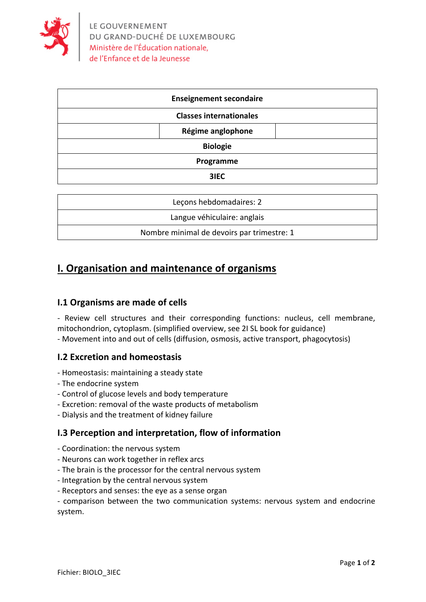

| <b>Enseignement secondaire</b> |  |
|--------------------------------|--|
| <b>Classes internationales</b> |  |
| Régime anglophone              |  |
| <b>Biologie</b>                |  |
| Programme                      |  |
| 3IEC                           |  |

| Lecons hebdomadaires: 2                    |
|--------------------------------------------|
| Langue véhiculaire: anglais                |
| Nombre minimal de devoirs par trimestre: 1 |

# **I. Organisation and maintenance of organisms**

### **I.1 Organisms are made of cells**

- Review cell structures and their corresponding functions: nucleus, cell membrane, mitochondrion, cytoplasm. (simplified overview, see 2I SL book for guidance) - Movement into and out of cells (diffusion, osmosis, active transport, phagocytosis)

### **I.2 Excretion and homeostasis**

- Homeostasis: maintaining a steady state
- The endocrine system
- Control of glucose levels and body temperature
- Excretion: removal of the waste products of metabolism
- Dialysis and the treatment of kidney failure

#### **I.3** Perception and interpretation, flow of information

- Coordination: the nervous system
- Neurons can work together in reflex arcs
- The brain is the processor for the central nervous system
- Integration by the central nervous system
- Receptors and senses: the eye as a sense organ

- comparison between the two communication systems: nervous system and endocrine system.